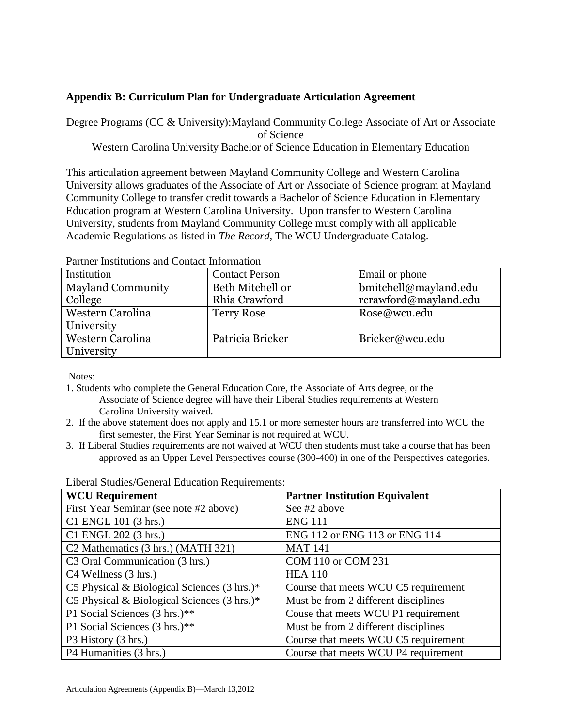## **Appendix B: Curriculum Plan for Undergraduate Articulation Agreement**

Degree Programs (CC & University):Mayland Community College Associate of Art or Associate of Science Western Carolina University Bachelor of Science Education in Elementary Education

This articulation agreement between Mayland Community College and Western Carolina University allows graduates of the Associate of Art or Associate of Science program at Mayland Community College to transfer credit towards a Bachelor of Science Education in Elementary Education program at Western Carolina University. Upon transfer to Western Carolina University, students from Mayland Community College must comply with all applicable Academic Regulations as listed in *The Record,* The WCU Undergraduate Catalog.

| T arthur Thomamons and Comact Information |                       |                       |
|-------------------------------------------|-----------------------|-----------------------|
| Institution                               | <b>Contact Person</b> | Email or phone        |
| <b>Mayland Community</b>                  | Beth Mitchell or      | bmitchell@mayland.edu |
| College                                   | Rhia Crawford         | rcrawford@mayland.edu |
| Western Carolina                          | <b>Terry Rose</b>     | Rose@wcu.edu          |
| University                                |                       |                       |
| Western Carolina                          | Patricia Bricker      | Bricker@wcu.edu       |
| <b>University</b>                         |                       |                       |

Partner Institutions and Contact Information

Notes:

- 1. Students who complete the General Education Core, the Associate of Arts degree, or the Associate of Science degree will have their Liberal Studies requirements at Western Carolina University waived.
- 2. If the above statement does not apply and 15.1 or more semester hours are transferred into WCU the first semester, the First Year Seminar is not required at WCU.
- 3. If Liberal Studies requirements are not waived at WCU then students must take a course that has been approved as an Upper Level Perspectives course (300-400) in one of the Perspectives categories.

| <b>WCU Requirement</b>                                 | <b>Partner Institution Equivalent</b> |
|--------------------------------------------------------|---------------------------------------|
| First Year Seminar (see note #2 above)                 | See #2 above                          |
| C1 ENGL 101 (3 hrs.)                                   | <b>ENG 111</b>                        |
| C1 ENGL 202 (3 hrs.)                                   | ENG 112 or ENG 113 or ENG 114         |
| C <sub>2</sub> Mathematics (3 hrs.) (MATH 321)         | <b>MAT 141</b>                        |
| C3 Oral Communication (3 hrs.)                         | COM 110 or COM 231                    |
| C4 Wellness (3 hrs.)                                   | <b>HEA 110</b>                        |
| C5 Physical & Biological Sciences $(3 \text{ hrs.})^*$ | Course that meets WCU C5 requirement  |
| C5 Physical & Biological Sciences (3 hrs.)*            | Must be from 2 different disciplines  |
| P1 Social Sciences (3 hrs.)**                          | Couse that meets WCU P1 requirement   |
| P1 Social Sciences (3 hrs.)**                          | Must be from 2 different disciplines  |
| P3 History (3 hrs.)                                    | Course that meets WCU C5 requirement  |
| P4 Humanities (3 hrs.)                                 | Course that meets WCU P4 requirement  |

Liberal Studies/General Education Requirements: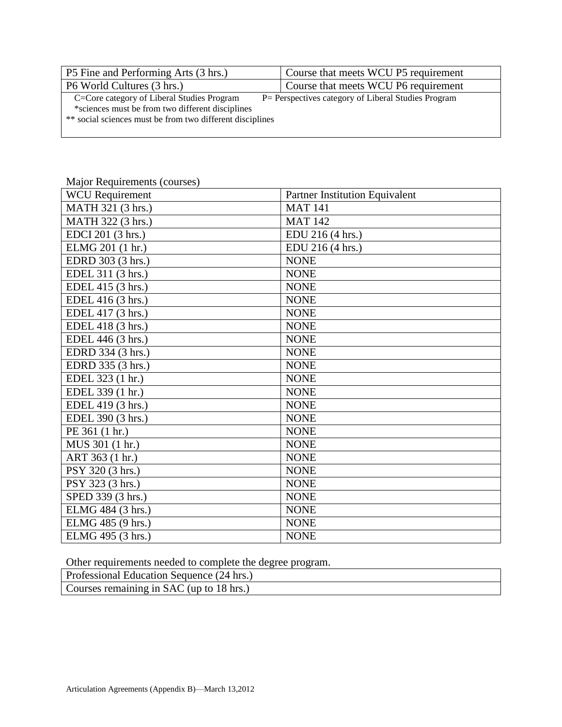| P5 Fine and Performing Arts (3 hrs.)                      | Course that meets WCU P5 requirement                 |
|-----------------------------------------------------------|------------------------------------------------------|
| P6 World Cultures (3 hrs.)                                | Course that meets WCU P6 requirement                 |
| C=Core category of Liberal Studies Program                | P = Perspectives category of Liberal Studies Program |
| *sciences must be from two different disciplines          |                                                      |
| ** social sciences must be from two different disciplines |                                                      |
|                                                           |                                                      |

## Major Requirements (courses)

| <b>WCU</b> Requirement | Partner Institution Equivalent |
|------------------------|--------------------------------|
| MATH 321 (3 hrs.)      | <b>MAT 141</b>                 |
| MATH 322 (3 hrs.)      | <b>MAT 142</b>                 |
| EDCI 201 (3 hrs.)      | EDU 216 (4 hrs.)               |
| ELMG 201 (1 hr.)       | EDU 216 (4 hrs.)               |
| EDRD 303 (3 hrs.)      | <b>NONE</b>                    |
| EDEL 311 (3 hrs.)      | <b>NONE</b>                    |
| EDEL 415 (3 hrs.)      | <b>NONE</b>                    |
| EDEL 416 (3 hrs.)      | <b>NONE</b>                    |
| EDEL 417 (3 hrs.)      | <b>NONE</b>                    |
| EDEL 418 (3 hrs.)      | <b>NONE</b>                    |
| EDEL 446 (3 hrs.)      | <b>NONE</b>                    |
| EDRD 334 (3 hrs.)      | <b>NONE</b>                    |
| EDRD 335 (3 hrs.)      | <b>NONE</b>                    |
| EDEL 323 (1 hr.)       | <b>NONE</b>                    |
| EDEL 339 (1 hr.)       | <b>NONE</b>                    |
| EDEL 419 (3 hrs.)      | <b>NONE</b>                    |
| EDEL 390 (3 hrs.)      | <b>NONE</b>                    |
| PE 361 (1 hr.)         | <b>NONE</b>                    |
| MUS 301 (1 hr.)        | <b>NONE</b>                    |
| ART 363 (1 hr.)        | <b>NONE</b>                    |
| PSY 320 (3 hrs.)       | <b>NONE</b>                    |
| PSY 323 (3 hrs.)       | <b>NONE</b>                    |
| SPED 339 (3 hrs.)      | <b>NONE</b>                    |
| ELMG 484 (3 hrs.)      | <b>NONE</b>                    |
| ELMG 485 (9 hrs.)      | <b>NONE</b>                    |
| ELMG 495 (3 hrs.)      | <b>NONE</b>                    |

Other requirements needed to complete the degree program.

| Professional Education Sequence (24 hrs.) |  |
|-------------------------------------------|--|
| Courses remaining in SAC (up to 18 hrs.)  |  |